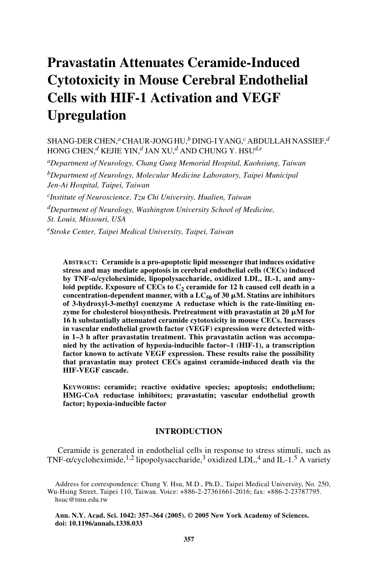# **Pravastatin Attenuates Ceramide-Induced Cytotoxicity in Mouse Cerebral Endothelial Cells with HIF-1 Activation and VEGF Upregulation**

SHANG-DER CHEN,*a* CHAUR-JONG HU,*b* DING-I YANG,*c* ABDULLAH NASSIEF,*<sup>d</sup>* HONG CHEN,*d* KEJIE YIN,*d* JAN XU,*d* AND CHUNG Y. HSU*d,e*

*aDepartment of Neurology, Chang Gung Memorial Hospital, Kaohsiung, Taiwan*

*bDepartment of Neurology, Molecular Medicine Laboratory, Taipei Municipal Jen-Ai Hospital, Taipei, Taiwan*

*cInstitute of Neuroscience, Tzu Chi University, Hualien, Taiwan*

*dDepartment of Neurology, Washington University School of Medicine, St. Louis, Missouri, USA*

*eStroke Center, Taipei Medical University, Taipei, Taiwan*

**ABSTRACT: Ceramide is a pro-apoptotic lipid messenger that induces oxidative stress and may mediate apoptosis in cerebral endothelial cells (CECs) induced** by TNF- $\alpha$ /cycloheximide, lipopolysaccharide, oxidized LDL, IL-1, and amyloid peptide. Exposure of CECs to  $C_2$  ceramide for 12 h caused cell death in a  $\mathbf{concentration-dependent manner, with a LC}_{50}$  of 30  $\mu$ M. Statins are inhibitors **of 3-hydroxyl-3-methyl coenzyme A reductase which is the rate-limiting en**zyme for cholesterol biosynthesis. Pretreatment with pravastatin at 20  $\mu$ M for **16 h substantially attenuated ceramide cytotoxicity in mouse CECs. Increases in vascular endothelial growth factor (VEGF) expression were detected within 1–3 h after pravastatin treatment. This pravastatin action was accompanied by the activation of hypoxia-inducible factor–1 (HIF-1), a transcription factor known to activate VEGF expression. These results raise the possibility that pravastatin may protect CECs against ceramide-induced death via the HIF-VEGF cascade.** 

**KEYWORDS: ceramide; reactive oxidative species; apoptosis; endothelium; HMG-CoA reductase inhibitors; pravastatin; vascular endothelial growth factor; hypoxia-inducible factor**

# **INTRODUCTION**

Ceramide is generated in endothelial cells in response to stress stimuli, such as TNF- $\alpha$ /cycloheximide,<sup>1,2</sup> lipopolysaccharide,<sup>3</sup> oxidized LDL,<sup>4</sup> and IL-1.<sup>5</sup> A variety

Address for correspondence: Chung Y. Hsu, M.D., Ph.D., Taipei Medical University, No. 250, Wu-Hsing Street, Taipei 110, Taiwan. Voice: +886-2-27361661-2016; fax: +886-2-23787795. hsuc@tmu.edu.tw

**Ann. N.Y. Acad. Sci. 1042: 357–364 (2005). © 2005 New York Academy of Sciences. doi: 10.1196/annals.1338.033**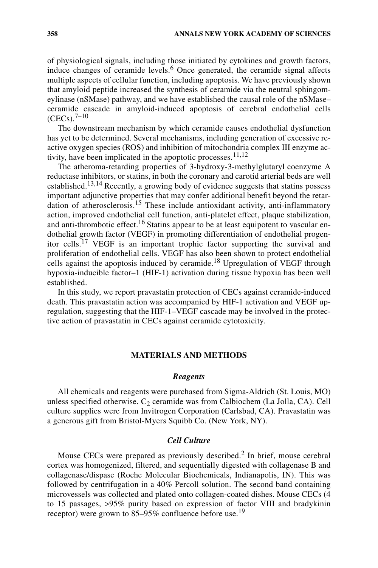of physiological signals, including those initiated by cytokines and growth factors, induce changes of ceramide levels.<sup>6</sup> Once generated, the ceramide signal affects multiple aspects of cellular function, including apoptosis. We have previously shown that amyloid peptide increased the synthesis of ceramide via the neutral sphingomeylinase (nSMase) pathway, and we have established the causal role of the nSMase– ceramide cascade in amyloid-induced apoptosis of cerebral endothelial cells  $(CECs)$ .<sup>7–10</sup>

The downstream mechanism by which ceramide causes endothelial dysfunction has yet to be determined. Several mechanisms, including generation of excessive reactive oxygen species (ROS) and inhibition of mitochondria complex III enzyme activity, have been implicated in the apoptotic processes.  $11,12$ 

The atheroma-retarding properties of 3-hydroxy-3-methylglutaryl coenzyme A reductase inhibitors, or statins, in both the coronary and carotid arterial beds are well established.<sup>13,14</sup> Recently, a growing body of evidence suggests that statins possess important adjunctive properties that may confer additional benefit beyond the retardation of atherosclerosis.<sup>15</sup> These include antioxidant activity, anti-inflammatory action, improved endothelial cell function, anti-platelet effect, plaque stabilization, and anti-thrombotic effect.<sup>16</sup> Statins appear to be at least equipotent to vascular endothelial growth factor (VEGF) in promoting differentiation of endothelial progenitor cells.<sup>17</sup> VEGF is an important trophic factor supporting the survival and proliferation of endothelial cells. VEGF has also been shown to protect endothelial cells against the apoptosis induced by ceramide.<sup>18</sup> Upregulation of VEGF through hypoxia-inducible factor–1 (HIF-1) activation during tissue hypoxia has been well established.

In this study, we report pravastatin protection of CECs against ceramide-induced death. This pravastatin action was accompanied by HIF-1 activation and VEGF upregulation, suggesting that the HIF-1–VEGF cascade may be involved in the protective action of pravastatin in CECs against ceramide cytotoxicity.

## **MATERIALS AND METHODS**

## *Reagents*

All chemicals and reagents were purchased from Sigma-Aldrich (St. Louis, MO) unless specified otherwise.  $C_2$  ceramide was from Calbiochem (La Jolla, CA). Cell culture supplies were from Invitrogen Corporation (Carlsbad, CA). Pravastatin was a generous gift from Bristol-Myers Squibb Co. (New York, NY).

# *Cell Culture*

Mouse CECs were prepared as previously described.<sup>2</sup> In brief, mouse cerebral cortex was homogenized, filtered, and sequentially digested with collagenase B and collagenase/dispase (Roche Molecular Biochemicals, Indianapolis, IN). This was followed by centrifugation in a 40% Percoll solution. The second band containing microvessels was collected and plated onto collagen-coated dishes. Mouse CECs (4 to 15 passages, >95% purity based on expression of factor VIII and bradykinin receptor) were grown to 85–95% confluence before use.<sup>19</sup>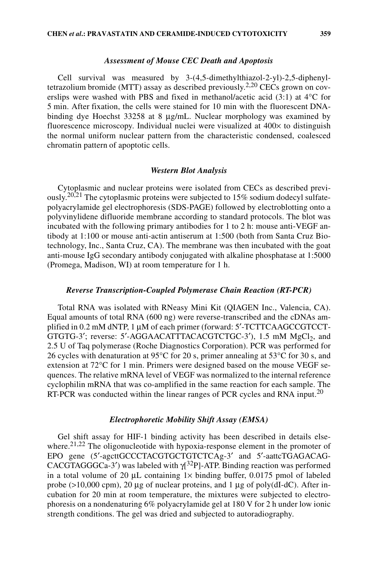#### *Assessment of Mouse CEC Death and Apoptosis*

Cell survival was measured by 3-(4,5-dimethylthiazol-2-yl)-2,5-diphenyltetrazolium bromide (MTT) assay as described previously.2,20 CECs grown on coverslips were washed with PBS and fixed in methanol/acetic acid (3:1) at 4°C for 5 min. After fixation, the cells were stained for 10 min with the fluorescent DNAbinding dye Hoechst 33258 at 8 µg/mL. Nuclear morphology was examined by fluorescence microscopy. Individual nuclei were visualized at  $400\times$  to distinguish the normal uniform nuclear pattern from the characteristic condensed, coalesced chromatin pattern of apoptotic cells.

#### *Western Blot Analysis*

Cytoplasmic and nuclear proteins were isolated from CECs as described previously.<sup>20,21</sup> The cytoplasmic proteins were subjected to 15% sodium dodecyl sulfatepolyacrylamide gel electrophoresis (SDS-PAGE) followed by electroblotting onto a polyvinylidene difluoride membrane according to standard protocols. The blot was incubated with the following primary antibodies for 1 to 2 h: mouse anti-VEGF antibody at 1:100 or mouse anti-actin antiserum at 1:500 (both from Santa Cruz Biotechnology, Inc., Santa Cruz, CA). The membrane was then incubated with the goat anti-mouse IgG secondary antibody conjugated with alkaline phosphatase at 1:5000 (Promega, Madison, WI) at room temperature for 1 h.

## *Reverse Transcription-Coupled Polymerase Chain Reaction (RT-PCR)*

Total RNA was isolated with RNeasy Mini Kit (QIAGEN Inc., Valencia, CA). Equal amounts of total RNA (600 ng) were reverse-transcribed and the cDNAs amplified in 0.2 mM dNTP, 1 µM of each primer (forward: 5′-TCTTCAAGCCGTCCT-GTGTG-3'; reverse:  $5'$ -AGGAACATTTACACGTCTGC-3'), 1.5 mM  $MgCl<sub>2</sub>$ , and 2.5 U of Taq polymerase (Roche Diagnostics Corporation). PCR was performed for 26 cycles with denaturation at 95°C for 20 s, primer annealing at 53°C for 30 s, and extension at 72°C for 1 min. Primers were designed based on the mouse VEGF sequences. The relative mRNA level of VEGF was normalized to the internal reference cyclophilin mRNA that was co-amplified in the same reaction for each sample. The RT-PCR was conducted within the linear ranges of PCR cycles and RNA input.<sup>20</sup>

### *Electrophoretic Mobility Shift Assay (EMSA)*

Gel shift assay for HIF-1 binding activity has been described in details elsewhere.<sup>21,22</sup> The oligonucleotide with hypoxia-response element in the promoter of EPO gene (5'-agcttGCCCTACGTGCTGTCTCAg-3' and 5'-aattcTGAGACAG-CACGTAGGGCa-3') was labeled with  $\gamma$ <sup>32</sup>P]-ATP. Binding reaction was performed in a total volume of 20  $\mu$ L containing 1x binding buffer, 0.0175 pmol of labeled probe ( $>10,000$  cpm), 20 µg of nuclear proteins, and 1 µg of poly(dI-dC). After incubation for 20 min at room temperature, the mixtures were subjected to electrophoresis on a nondenaturing 6% polyacrylamide gel at 180 V for 2 h under low ionic strength conditions. The gel was dried and subjected to autoradiography.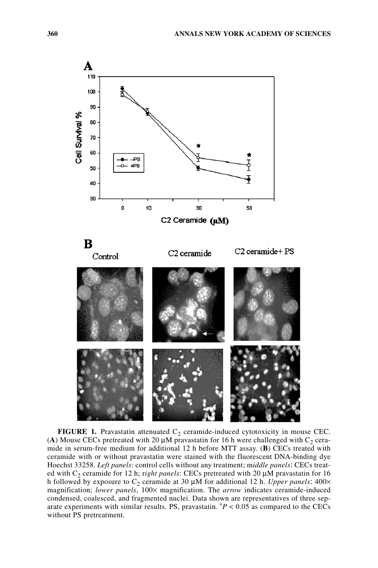

**FIGURE 1.** Pravastatin attenuated  $C_2$  ceramide-induced cytotoxicity in mouse CEC. (A) Mouse CECs pretreated with 20  $\mu$ M pravastatin for 16 h were challenged with C<sub>2</sub> ceramide in serum-free medium for additional 12 h before MTT assay. (**B**) CECs treated with ceramide with or without pravastatin were stained with the fluorescent DNA-binding dye Hoechst 33258. *Left panels*: control cells without any treatment; m*iddle panels*: CECs treated with C2 ceramide for 12 h; r*ight panels*: CECs pretreated with 20 µM pravastatin for 16 h followed by exposure to  $C_2$  ceramide at 30  $\mu$ M for additional 12 h. *Upper panels*: 400× magnification; *lower panels*, 100× magnification. The *arrow* indicates ceramide-induced condensed, coalesced, and fragmented nuclei. Data shown are representatives of three separate experiments with similar results. PS, pravastatin.  $P < 0.05$  as compared to the CECs without PS pretreatment.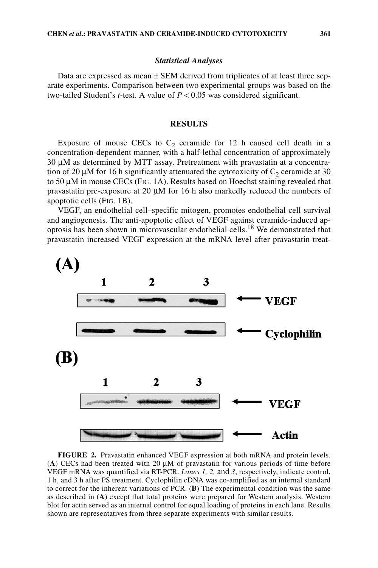#### *Statistical Analyses*

Data are expressed as mean  $\pm$  SEM derived from triplicates of at least three separate experiments. Comparison between two experimental groups was based on the two-tailed Student's *t*-test. A value of  $P < 0.05$  was considered significant.

# **RESULTS**

Exposure of mouse CECs to  $C_2$  ceramide for 12 h caused cell death in a concentration-dependent manner, with a half-lethal concentration of approximately 30 µM as determined by MTT assay. Pretreatment with pravastatin at a concentration of 20  $\mu$ M for 16 h significantly attenuated the cytotoxicity of C<sub>2</sub> ceramide at 30 to 50 µM in mouse CECs (FIG. 1A). Results based on Hoechst staining revealed that pravastatin pre-exposure at 20 µM for 16 h also markedly reduced the numbers of apoptotic cells (FIG. 1B).

VEGF, an endothelial cell–specific mitogen, promotes endothelial cell survival and angiogenesis. The anti-apoptotic effect of VEGF against ceramide-induced apoptosis has been shown in microvascular endothelial cells.18 We demonstrated that pravastatin increased VEGF expression at the mRNA level after pravastatin treat-



**FIGURE 2.** Pravastatin enhanced VEGF expression at both mRNA and protein levels. (**A**) CECs had been treated with 20 µM of pravastatin for various periods of time before VEGF mRNA was quantified via RT-PCR. *Lanes 1, 2,* and *3*, respectively, indicate control, 1 h, and 3 h after PS treatment. Cyclophilin cDNA was co-amplified as an internal standard to correct for the inherent variations of PCR. (**B**) The experimental condition was the same as described in (**A**) except that total proteins were prepared for Western analysis. Western blot for actin served as an internal control for equal loading of proteins in each lane. Results shown are representatives from three separate experiments with similar results.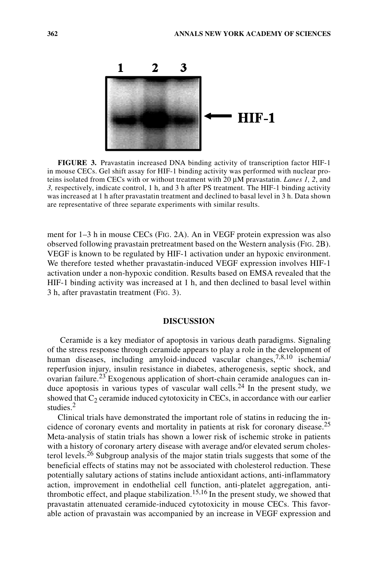

**FIGURE 3.** Pravastatin increased DNA binding activity of transcription factor HIF-1 in mouse CECs. Gel shift assay for HIF-1 binding activity was performed with nuclear proteins isolated from CECs with or without treatment with 20 µM pravastatin. *Lanes 1, 2*, and *3,* respectively, indicate control, 1 h, and 3 h after PS treatment. The HIF-1 binding activity was increased at 1 h after pravastatin treatment and declined to basal level in 3 h. Data shown are representative of three separate experiments with similar results.

ment for 1–3 h in mouse CECs (FIG. 2A). An in VEGF protein expression was also observed following pravastain pretreatment based on the Western analysis (FIG. 2B). VEGF is known to be regulated by HIF-1 activation under an hypoxic environment. We therefore tested whether pravastatin-induced VEGF expression involves HIF-1 activation under a non-hypoxic condition. Results based on EMSA revealed that the HIF-1 binding activity was increased at 1 h, and then declined to basal level within 3 h, after pravastatin treatment (FIG. 3).

## **DISCUSSION**

Ceramide is a key mediator of apoptosis in various death paradigms. Signaling of the stress response through ceramide appears to play a role in the development of human diseases, including amyloid-induced vascular changes,<sup>7,8,10</sup> ischemia/ reperfusion injury, insulin resistance in diabetes, atherogenesis, septic shock, and ovarian failure.<sup>23</sup> Exogenous application of short-chain ceramide analogues can induce apoptosis in various types of vascular wall cells.<sup>24</sup> In the present study, we showed that  $C_2$  ceramide induced cytotoxicity in CECs, in accordance with our earlier studies.<sup>2</sup>

Clinical trials have demonstrated the important role of statins in reducing the incidence of coronary events and mortality in patients at risk for coronary disease.<sup>25</sup> Meta-analysis of statin trials has shown a lower risk of ischemic stroke in patients with a history of coronary artery disease with average and/or elevated serum cholesterol levels.<sup>26</sup> Subgroup analysis of the major statin trials suggests that some of the beneficial effects of statins may not be associated with cholesterol reduction. These potentially salutary actions of statins include antioxidant actions, anti-inflammatory action, improvement in endothelial cell function, anti-platelet aggregation, antithrombotic effect, and plaque stabilization.<sup>15,16</sup> In the present study, we showed that pravastatin attenuated ceramide-induced cytotoxicity in mouse CECs. This favorable action of pravastain was accompanied by an increase in VEGF expression and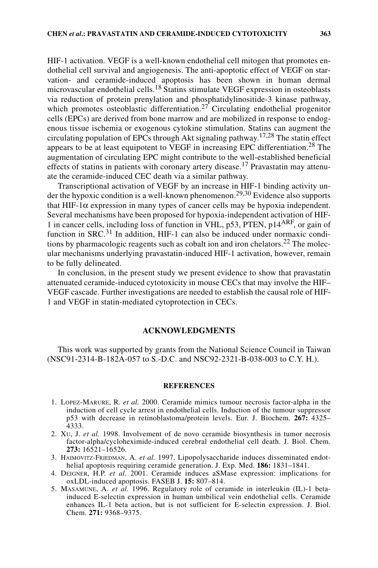HIF-1 activation. VEGF is a well-known endothelial cell mitogen that promotes endothelial cell survival and angiogenesis. The anti-apoptotic effect of VEGF on starvation- and ceramide-induced apoptosis has been shown in human dermal microvascular endothelial cells.<sup>18</sup> Statins stimulate VEGF expression in osteoblasts via reduction of protein prenylation and phosphatidylinositide-3 kinase pathway, which promotes osteoblastic differentiation.<sup>27</sup> Circulating endothelial progenitor cells (EPCs) are derived from bone marrow and are mobilized in response to endogenous tissue ischemia or exogenous cytokine stimulation. Statins can augment the circulating population of EPCs through Akt signaling pathway.<sup>17,28</sup> The statin effect appears to be at least equipotent to VEGF in increasing EPC differentiation.28 The augmentation of circulating EPC might contribute to the well-established beneficial effects of statins in patients with coronary artery disease.<sup>17</sup> Pravastatin may attenuate the ceramide-induced CEC death via a similar pathway.

Transcriptional activation of VEGF by an increase in HIF-1 binding activity under the hypoxic condition is a well-known phenomenon.<sup>29,30</sup> Evidence also supports that HIF-1 $\alpha$  expression in many types of cancer cells may be hypoxia independent. Several mechanisms have been proposed for hypoxia-independent activation of HIF-1 in cancer cells, including loss of function in VHL, p53, PTEN, p14<sup>ARF</sup>, or gain of function in SRC.<sup>31</sup> In addition, HIF-1 can also be induced under normaxic conditions by pharmacologic reagents such as cobalt ion and iron chelators.<sup>22</sup> The molecular mechanisms underlying pravastatin-induced HIF-1 activation, however, remain to be fully delineated.

In conclusion, in the present study we present evidence to show that pravastatin attenuated ceramide-induced cytotoxicity in mouse CECs that may involve the HIF– VEGF cascade. Further investigations are needed to establish the causal role of HIF-1 and VEGF in statin-mediated cytoprotection in CECs.

# **ACKNOWLEDGMENTS**

This work was supported by grants from the National Science Council in Taiwan (NSC91-2314-B-182A-057 to S.-D.C. and NSC92-2321-B-038-003 to C.Y. H.).

#### **REFERENCES**

- 1. LOPEZ-MARURE, R. *et al.* 2000. Ceramide mimics tumour necrosis factor-alpha in the induction of cell cycle arrest in endothelial cells. Induction of the tumour suppressor p53 with decrease in retinoblastoma/protein levels. Eur. J. Biochem. **267:** 4325– 4333.
- 2. XU, J. *et al.* 1998. Involvement of de novo ceramide biosynthesis in tumor necrosis factor-alpha/cycloheximide-induced cerebral endothelial cell death. J. Biol. Chem. **273:** 16521–16526.
- 3. HAIMOVITZ-FRIEDMAN, A. *et al.* 1997. Lipopolysaccharide induces disseminated endothelial apoptosis requiring ceramide generation. J. Exp. Med. **186:** 1831–1841.
- 4. DEIGNER, H.P. *et al.* 2001. Ceramide induces aSMase expression: implications for oxLDL-induced apoptosis. FASEB J. **15:** 807–814.
- 5. MASAMUNE, A. *et al.* 1996. Regulatory role of ceramide in interleukin (IL)-1 betainduced E-selectin expression in human umbilical vein endothelial cells. Ceramide enhances IL-1 beta action, but is not sufficient for E-selectin expression. J. Biol. Chem. **271:** 9368–9375.